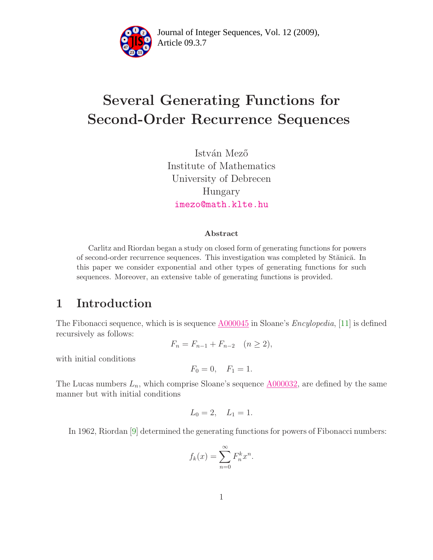

Article 09.3.7 **<sup>2</sup>** Journal of Integer Sequences, Vol. 12 (2009),

# Several Generating Functions for Second-Order Recurrence Sequences

István Mező Institute of Mathematics University of Debrecen Hungary [imezo@math.klte.hu](mailto:imezo@math.klte.hu)

#### Abstract

Carlitz and Riordan began a study on closed form of generating functions for powers of second-order recurrence sequences. This investigation was completed by Stănică. In this paper we consider exponential and other types of generating functions for such sequences. Moreover, an extensive table of generating functions is provided.

#### 1 Introduction

The Fibonacci sequence, which is is sequence  $A000045$  in Sloane's *Encylopedia*, [\[11\]](#page-15-0) is defined recursively as follows:

$$
F_n = F_{n-1} + F_{n-2} \quad (n \ge 2),
$$

with initial conditions

$$
F_0 = 0, \quad F_1 = 1.
$$

The Lucas numbers  $L_n$ , which comprise Sloane's sequence  $\underline{A000032}$ , are defined by the same manner but with initial conditions

$$
L_0 = 2, \quad L_1 = 1.
$$

In 1962, Riordan [\[9\]](#page-15-1) determined the generating functions for powers of Fibonacci numbers:

$$
f_k(x) = \sum_{n=0}^{\infty} F_n^k x^n.
$$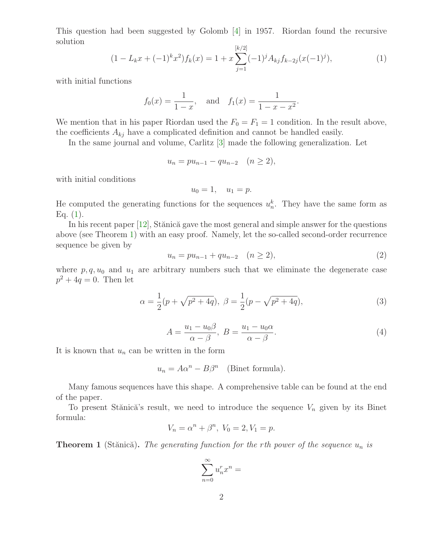<span id="page-1-0"></span>This question had been suggested by Golomb [\[4\]](#page-15-2) in 1957. Riordan found the recursive solution

$$
(1 - L_k x + (-1)^k x^2) f_k(x) = 1 + x \sum_{j=1}^{[k/2]} (-1)^j A_{kj} f_{k-2j}(x(-1)^j), \tag{1}
$$

with initial functions

$$
f_0(x) = \frac{1}{1-x}
$$
, and  $f_1(x) = \frac{1}{1-x-x^2}$ .

We mention that in his paper Riordan used the  $F_0 = F_1 = 1$  condition. In the result above, the coefficients  $A_{kj}$  have a complicated definition and cannot be handled easily.

In the same journal and volume, Carlitz [\[3\]](#page-15-3) made the following generalization. Let

$$
u_n = pu_{n-1} - qu_{n-2} \quad (n \ge 2),
$$

with initial conditions

$$
u_0 = 1, \quad u_1 = p.
$$

He computed the generating functions for the sequences  $u_n^k$ . They have the same form as Eq.  $(1)$ .

<span id="page-1-4"></span>In his recent paper  $[12]$ , Stănică gave the most general and simple answer for the questions above (see Theorem [1\)](#page-1-1) with an easy proof. Namely, let the so-called second-order recurrence sequence be given by

$$
u_n = pu_{n-1} + qu_{n-2} \quad (n \ge 2), \tag{2}
$$

<span id="page-1-3"></span><span id="page-1-2"></span>where  $p, q, u_0$  and  $u_1$  are arbitrary numbers such that we eliminate the degenerate case  $p^2 + 4q = 0$ . Then let

$$
\alpha = \frac{1}{2}(p + \sqrt{p^2 + 4q}), \ \beta = \frac{1}{2}(p - \sqrt{p^2 + 4q}), \tag{3}
$$

$$
A = \frac{u_1 - u_0 \beta}{\alpha - \beta}, \ B = \frac{u_1 - u_0 \alpha}{\alpha - \beta}.
$$
 (4)

It is known that  $u_n$  can be written in the form

$$
u_n = A\alpha^n - B\beta^n \quad \text{(Binet formula)}.
$$

Many famous sequences have this shape. A comprehensive table can be found at the end of the paper.

To present Stănică's result, we need to introduce the sequence  $V_n$  given by its Binet formula:

$$
V_n = \alpha^n + \beta^n, \ V_0 = 2, V_1 = p.
$$

<span id="page-1-1"></span>**Theorem 1** (Stănică). The generating function for the rth power of the sequence  $u_n$  is

$$
\sum_{n=0}^\infty u_n^rx^n=
$$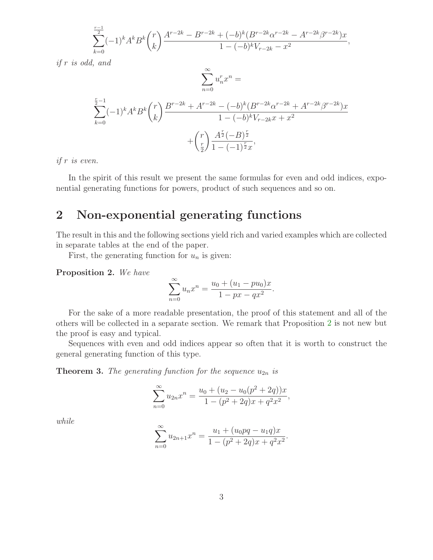$$
\sum_{k=0}^{\frac{r-1}{2}}(-1)^k A^k B^k \binom{r}{k} \frac{A^{r-2k} - B^{r-2k} + (-b)^k (B^{r-2k} \alpha^{r-2k} - A^{r-2k} \beta^{r-2k}) x}{1 - (-b)^k V_{r-2k} - x^2},
$$

if r is odd, and

$$
\sum_{n=0}^{\infty} u_n^r x^n =
$$
\n
$$
\sum_{k=0}^{\frac{r}{2}-1} (-1)^k A^k B^k \binom{r}{k} \frac{B^{r-2k} + A^{r-2k} - (-b)^k (B^{r-2k} \alpha^{r-2k} + A^{r-2k} \beta^{r-2k}) x}{1 - (-b)^k V_{r-2k} x + x^2}
$$
\n
$$
+ \binom{r}{\frac{r}{2}} \frac{A^{\frac{r}{2}} (-B)^{\frac{r}{2}}}{1 - (-1)^{\frac{r}{2}} x},
$$

if r is even.

In the spirit of this result we present the same formulas for even and odd indices, exponential generating functions for powers, product of such sequences and so on.

#### 2 Non-exponential generating functions

The result in this and the following sections yield rich and varied examples which are collected in separate tables at the end of the paper.

First, the generating function for  $u_n$  is given:

<span id="page-2-0"></span>Proposition 2. We have

$$
\sum_{n=0}^{\infty} u_n x^n = \frac{u_0 + (u_1 - p u_0)x}{1 - px - qx^2}.
$$

For the sake of a more readable presentation, the proof of this statement and all of the others will be collected in a separate section. We remark that Proposition [2](#page-2-0) is not new but the proof is easy and typical.

<span id="page-2-2"></span>Sequences with even and odd indices appear so often that it is worth to construct the general generating function of this type.

**Theorem 3.** The generating function for the sequence  $u_{2n}$  is

$$
\sum_{n=0}^{\infty} u_{2n} x^n = \frac{u_0 + (u_2 - u_0(p^2 + 2q))x}{1 - (p^2 + 2q)x + q^2 x^2},
$$

<span id="page-2-1"></span>while

$$
\sum_{n=0}^{\infty} u_{2n+1} x^n = \frac{u_1 + (u_0pq - u_1q)x}{1 - (p^2 + 2q)x + q^2x^2}.
$$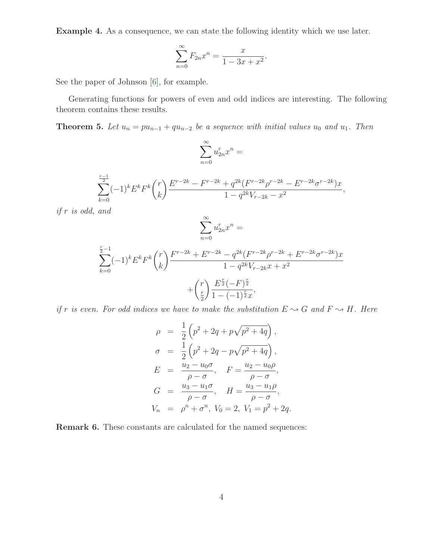Example 4. As a consequence, we can state the following identity which we use later.

$$
\sum_{n=0}^{\infty} F_{2n} x^n = \frac{x}{1 - 3x + x^2}.
$$

See the paper of Johnson [\[6\]](#page-15-5), for example.

<span id="page-3-0"></span>Generating functions for powers of even and odd indices are interesting. The following theorem contains these results.

**Theorem 5.** Let  $u_n = pu_{n-1} + qu_{n-2}$  be a sequence with initial values  $u_0$  and  $u_1$ . Then

$$
\sum_{n=0}^\infty u_{2n}^rx^n=
$$

$$
\sum_{k=0}^{\frac{r-1}{2}}(-1)^k E^k F^k \binom{r}{k} \frac{E^{r-2k} - F^{r-2k} + q^{2k} (F^{r-2k} \rho^{r-2k} - E^{r-2k} \sigma^{r-2k}) x}{1 - q^{2k} V_{r-2k} - x^2},
$$

if r is odd, and

$$
\sum_{n=0}^{\infty} u_{2n}^r x^n =
$$

$$
\sum_{k=0}^{\frac{r}{2}-1}(-1)^{k}E^{k}F^{k}\binom{r}{k}\frac{F^{r-2k}+E^{r-2k}-q^{2k}(F^{r-2k}\rho^{r-2k}+E^{r-2k}\sigma^{r-2k})x}{1-q^{2k}V_{r-2k}x+x^{2}} + \binom{r}{\frac{r}{2}}\frac{E^{\frac{r}{2}}(-F)^{\frac{r}{2}}}{1-(-1)^{\frac{r}{2}}x},
$$

if r is even. For odd indices we have to make the substitution  $E \sim G$  and  $F \sim H$ . Here

$$
\rho = \frac{1}{2} \left( p^2 + 2q + p\sqrt{p^2 + 4q} \right),
$$
  
\n
$$
\sigma = \frac{1}{2} \left( p^2 + 2q - p\sqrt{p^2 + 4q} \right),
$$
  
\n
$$
E = \frac{u_2 - u_0 \sigma}{\rho - \sigma}, \quad F = \frac{u_2 - u_0 \rho}{\rho - \sigma},
$$
  
\n
$$
G = \frac{u_3 - u_1 \sigma}{\rho - \sigma}, \quad H = \frac{u_3 - u_1 \rho}{\rho - \sigma},
$$
  
\n
$$
V_n = \rho^n + \sigma^n, \quad V_0 = 2, \quad V_1 = p^2 + 2q.
$$

Remark 6. These constants are calculated for the named sequences: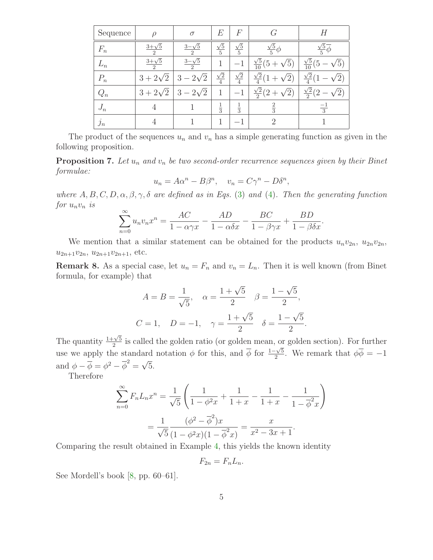| Sequence | ρ                                | $\sigma$                      | E                    | $\overline{F}$       | G                                         | Н                                            |
|----------|----------------------------------|-------------------------------|----------------------|----------------------|-------------------------------------------|----------------------------------------------|
| $F_n$    | $3 + \sqrt{5}$<br>$\overline{2}$ | $3-\sqrt{5}$<br>$\mathcal{D}$ | $\frac{\sqrt{5}}{5}$ | $\frac{\sqrt{5}}{5}$ | $\frac{\sqrt{5}}{5}\phi$                  | $\frac{\sqrt{5}}{5}$                         |
| $L_n$    | $3 + \sqrt{5}$<br>$\overline{2}$ | $\frac{3-\sqrt{5}}{2}$        | 1                    |                      | $\frac{\sqrt{5}}{10}(5 +$<br>$\sqrt{5})$  | $\frac{\sqrt{5}}{10}(5$                      |
| $P_n$    | $3 + 2\sqrt{2}$                  | $2\sqrt{2}$<br>3              | $\frac{\sqrt{2}}{4}$ | $\frac{\sqrt{2}}{4}$ | $\frac{\sqrt{2}}{4}(1$<br>$^{\prime}2)$   | $\frac{\sqrt{2}}{4}$                         |
| $Q_n$    | $3 + 2\sqrt{2}$                  | $-2\sqrt{2}$<br>3             | 1                    | $-1$                 | $\frac{\sqrt{2}}{2}(2 + )$<br>$\sqrt{2})$ | $\frac{\sqrt{2}}{2}(2)$<br>$\left( 2\right)$ |
| $J_n$    | 4                                |                               | $\frac{1}{3}$        | $\frac{1}{3}$        | $\frac{2}{3}$                             | $\frac{-1}{3}$                               |
| $j_n$    |                                  |                               |                      |                      | $\Omega$                                  |                                              |

<span id="page-4-0"></span>The product of the sequences  $u_n$  and  $v_n$  has a simple generating function as given in the following proposition.

**Proposition 7.** Let  $u_n$  and  $v_n$  be two second-order recurrence sequences given by their Binet formulae:

$$
u_n = A\alpha^n - B\beta^n, \quad v_n = C\gamma^n - D\delta^n,
$$

where  $A, B, C, D, \alpha, \beta, \gamma, \delta$  are defined as in Eqs. [\(3\)](#page-1-2) and [\(4\)](#page-1-3). Then the generating function for  $u_n v_n$  is

$$
\sum_{n=0}^{\infty} u_n v_n x^n = \frac{AC}{1 - \alpha \gamma x} - \frac{AD}{1 - \alpha \delta x} - \frac{BC}{1 - \beta \gamma x} + \frac{BD}{1 - \beta \delta x}.
$$

We mention that a similar statement can be obtained for the products  $u_n v_{2n}$ ,  $u_{2n} v_{2n}$ ,  $u_{2n+1}v_{2n}, u_{2n+1}v_{2n+1},$  etc.

**Remark 8.** As a special case, let  $u_n = F_n$  and  $v_n = L_n$ . Then it is well known (from Binet formula, for example) that

$$
A = B = \frac{1}{\sqrt{5}}, \quad \alpha = \frac{1 + \sqrt{5}}{2} \quad \beta = \frac{1 - \sqrt{5}}{2},
$$
  

$$
C = 1, \quad D = -1, \quad \gamma = \frac{1 + \sqrt{5}}{2} \quad \delta = \frac{1 - \sqrt{5}}{2}.
$$

The quantity  $\frac{1+\sqrt{5}}{2}$  $\frac{1}{2}$  is called the golden ratio (or golden mean, or golden section). For further use we apply the standard notation  $\phi$  for this, and  $\phi$  for  $\frac{1-\sqrt{5}}{2}$  $\frac{1-\sqrt{5}}{2}$ . We remark that  $\phi\phi = -1$ and  $\phi - \overline{\phi} = \phi^2 - \overline{\phi}^2 = \sqrt{5}$ .

Therefore

$$
\sum_{n=0}^{\infty} F_n L_n x^n = \frac{1}{\sqrt{5}} \left( \frac{1}{1 - \phi^2 x} + \frac{1}{1 + x} - \frac{1}{1 + x} - \frac{1}{1 - \overline{\phi}^2 x} \right)
$$

$$
= \frac{1}{\sqrt{5}} \frac{(\phi^2 - \overline{\phi}^2) x}{(1 - \phi^2 x)(1 - \overline{\phi}^2 x)} = \frac{x}{x^2 - 3x + 1}.
$$

Comparing the result obtained in Example [4,](#page-2-1) this yields the known identity

 $F_{2n} = F_n L_n$ .

See Mordell's book [\[8,](#page-15-6) pp. 60–61].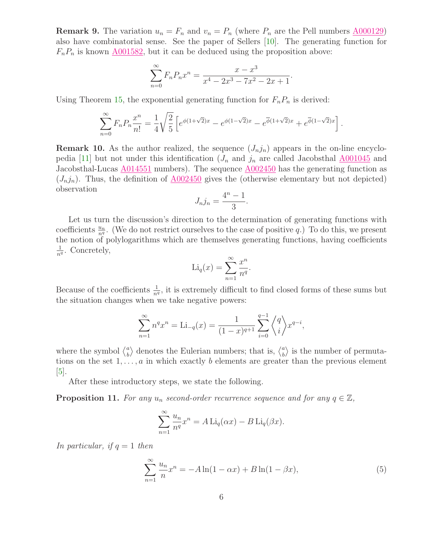**Remark 9.** The variation  $u_n = F_n$  and  $v_n = P_n$  (where  $P_n$  are the Pell numbers  $\underline{A000129}$ ) also have combinatorial sense. See the paper of Sellers [\[10\]](#page-15-7). The generating function for  $F_nP_n$  is known  $\underline{A001582}$ , but it can be deduced using the proposition above:

$$
\sum_{n=0}^{\infty} F_n P_n x^n = \frac{x - x^3}{x^4 - 2x^3 - 7x^2 - 2x + 1}.
$$

Using Theorem [15,](#page-8-0) the exponential generating function for  $F_nP_n$  is derived:

$$
\sum_{n=0}^{\infty} F_n P_n \frac{x^n}{n!} = \frac{1}{4} \sqrt{\frac{2}{5}} \left[ e^{\phi(1+\sqrt{2})x} - e^{\phi(1-\sqrt{2})x} - e^{\overline{\phi}(1+\sqrt{2})x} + e^{\overline{\phi}(1-\sqrt{2})x} \right].
$$

**Remark 10.** As the author realized, the sequence  $(J_n j_n)$  appears in the on-line encyclo-pedia [\[11\]](#page-15-0) but not under this identification  $(J_n$  and  $j_n$  are called Jacobsthal  $\underline{\text{A}001045}$  and Jacobsthal-Lucas  $\underline{\text{A}014551}$  numbers). The sequence  $\underline{\text{A}002450}$  has the generating function as  $(J_nj_n)$ . Thus, the definition of  $\underline{A002450}$  $\underline{A002450}$  $\underline{A002450}$  gives the (otherwise elementary but not depicted) observation

$$
J_n j_n = \frac{4^n - 1}{3}.
$$

Let us turn the discussion's direction to the determination of generating functions with coefficients  $\frac{u_n}{n^q}$ . (We do not restrict ourselves to the case of positive q.) To do this, we present the notion of polylogarithms which are themselves generating functions, having coefficients  $\frac{1}{n^q}$ . Concretely,

$$
\mathrm{Li}_q(x) = \sum_{n=1}^{\infty} \frac{x^n}{n^q}.
$$

Because of the coefficients  $\frac{1}{n^q}$ , it is extremely difficult to find closed forms of these sums but the situation changes when we take negative powers:

$$
\sum_{n=1}^{\infty} n^q x^n = \text{Li}_{-q}(x) = \frac{1}{(1-x)^{q+1}} \sum_{i=0}^{q-1} \binom{q}{i} x^{q-i},
$$

where the symbol  $\binom{a}{b}$  $\binom{a}{b}$  denotes the Eulerian numbers; that is,  $\binom{a}{b}$  $\binom{a}{b}$  is the number of permutations on the set  $1, \ldots, a$  in which exactly b elements are greater than the previous element  $|5|$ .

After these introductory steps, we state the following.

<span id="page-5-1"></span>**Proposition 11.** For any  $u_n$  second-order recurrence sequence and for any  $q \in \mathbb{Z}$ ,

$$
\sum_{n=1}^{\infty} \frac{u_n}{n^q} x^n = A \operatorname{Li}_q(\alpha x) - B \operatorname{Li}_q(\beta x).
$$

In particular, if  $q = 1$  then

<span id="page-5-0"></span>
$$
\sum_{n=1}^{\infty} \frac{u_n}{n} x^n = -A \ln(1 - \alpha x) + B \ln(1 - \beta x),
$$
\n(5)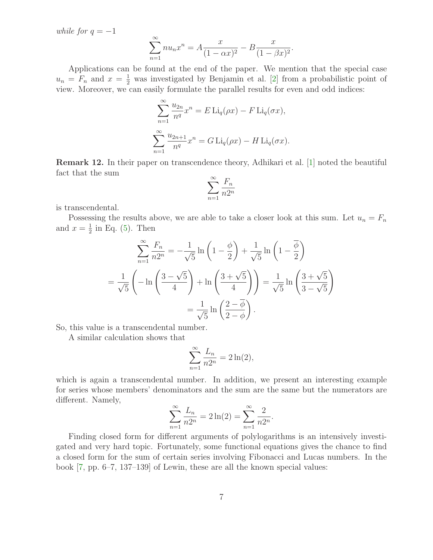while for  $q = -1$ 

$$
\sum_{n=1}^{\infty} n u_n x^n = A \frac{x}{(1 - \alpha x)^2} - B \frac{x}{(1 - \beta x)^2}.
$$

Applications can be found at the end of the paper. We mention that the special case  $u_n = F_n$  and  $x = \frac{1}{2}$  was investigated by Benjamin et al. [\[2\]](#page-15-9) from a probabilistic point of view. Moreover, we can easily formulate the parallel results for even and odd indices:

$$
\sum_{n=1}^{\infty} \frac{u_{2n}}{n^q} x^n = E \operatorname{Li}_q(\rho x) - F \operatorname{Li}_q(\sigma x),
$$

$$
\sum_{n=1}^{\infty} \frac{u_{2n+1}}{n^q} x^n = G \operatorname{Li}_q(\rho x) - H \operatorname{Li}_q(\sigma x).
$$

Remark 12. In their paper on transcendence theory, Adhikari et al. [\[1\]](#page-15-10) noted the beautiful fact that the sum

$$
\sum_{n=1}^{\infty} \frac{F_n}{n2^n}
$$

is transcendental.

Possessing the results above, we are able to take a closer look at this sum. Let  $u_n = F_n$ and  $x=\frac{1}{2}$  $\frac{1}{2}$  in Eq. [\(5\)](#page-5-0). Then

$$
\sum_{n=1}^{\infty} \frac{F_n}{n2^n} = -\frac{1}{\sqrt{5}} \ln\left(1 - \frac{\phi}{2}\right) + \frac{1}{\sqrt{5}} \ln\left(1 - \frac{\overline{\phi}}{2}\right)
$$

$$
= \frac{1}{\sqrt{5}} \left(-\ln\left(\frac{3 - \sqrt{5}}{4}\right) + \ln\left(\frac{3 + \sqrt{5}}{4}\right)\right) = \frac{1}{\sqrt{5}} \ln\left(\frac{3 + \sqrt{5}}{3 - \sqrt{5}}\right)
$$

$$
= \frac{1}{\sqrt{5}} \ln\left(\frac{2 - \overline{\phi}}{2 - \phi}\right).
$$

So, this value is a transcendental number.

A similar calculation shows that

$$
\sum_{n=1}^{\infty} \frac{L_n}{n2^n} = 2\ln(2),
$$

which is again a transcendental number. In addition, we present an interesting example for series whose members' denominators and the sum are the same but the numerators are different. Namely,

$$
\sum_{n=1}^{\infty} \frac{L_n}{n2^n} = 2\ln(2) = \sum_{n=1}^{\infty} \frac{2}{n2^n}.
$$

Finding closed form for different arguments of polylogarithms is an intensively investigated and very hard topic. Fortunately, some functional equations gives the chance to find a closed form for the sum of certain series involving Fibonacci and Lucas numbers. In the book [\[7,](#page-15-11) pp. 6–7, 137–139] of Lewin, these are all the known special values: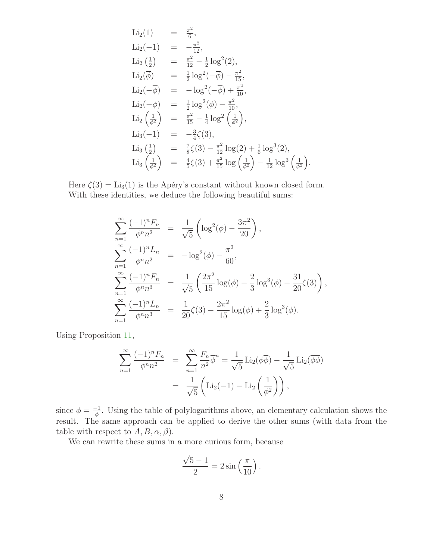Li<sub>2</sub>(1) = 
$$
\frac{\pi^2}{6}
$$
,  
\nLi<sub>2</sub>(-1) =  $-\frac{\pi^2}{12}$ ,  
\nLi<sub>2</sub>( $\frac{1}{2}$ ) =  $\frac{\pi^2}{12} - \frac{1}{2} \log^2(2)$ ,  
\nLi<sub>2</sub>( $\overline{\phi}$ ) =  $\frac{1}{2} \log^2(-\overline{\phi}) - \frac{\pi^2}{15}$ ,  
\nLi<sub>2</sub>(- $\overline{\phi}$ ) =  $-\log^2(-\overline{\phi}) + \frac{\pi^2}{10}$ ,  
\nLi<sub>2</sub>(- $\phi$ ) =  $\frac{1}{2} \log^2(\phi) - \frac{\pi^2}{10}$ ,  
\nLi<sub>2</sub>( $\frac{1}{\phi^2}$ ) =  $\frac{\pi^2}{15} - \frac{1}{4} \log^2(\frac{1}{\phi^2})$ ,  
\nLi<sub>3</sub>(-1) =  $-\frac{3}{4}\zeta(3)$ ,  
\nLi<sub>3</sub>( $\frac{1}{2}$ ) =  $\frac{7}{8}\zeta(3) - \frac{\pi^2}{12} \log(2) + \frac{1}{6} \log^3(2)$ ,  
\nLi<sub>3</sub>( $\frac{1}{\phi^2}$ ) =  $\frac{4}{5}\zeta(3) + \frac{\pi^2}{15} \log(\frac{1}{\phi^2}) - \frac{1}{12} \log^3(\frac{1}{\phi^2})$ 

.

Here  $\zeta(3) = \text{Li}_3(1)$  is the Apéry's constant without known closed form. With these identities, we deduce the following beautiful sums:

$$
\sum_{n=1}^{\infty} \frac{(-1)^n F_n}{\phi^n n^2} = \frac{1}{\sqrt{5}} \left( \log^2(\phi) - \frac{3\pi^2}{20} \right),
$$
  
\n
$$
\sum_{n=1}^{\infty} \frac{(-1)^n L_n}{\phi^n n^2} = -\log^2(\phi) - \frac{\pi^2}{60},
$$
  
\n
$$
\sum_{n=1}^{\infty} \frac{(-1)^n F_n}{\phi^n n^3} = \frac{1}{\sqrt{5}} \left( \frac{2\pi^2}{15} \log(\phi) - \frac{2}{3} \log^3(\phi) - \frac{31}{20} \zeta(3) \right),
$$
  
\n
$$
\sum_{n=1}^{\infty} \frac{(-1)^n L_n}{\phi^n n^3} = \frac{1}{20} \zeta(3) - \frac{2\pi^2}{15} \log(\phi) + \frac{2}{3} \log^3(\phi).
$$

Using Proposition [11,](#page-5-1)

$$
\sum_{n=1}^{\infty} \frac{(-1)^n F_n}{\phi^n n^2} = \sum_{n=1}^{\infty} \frac{F_n}{n^2} \overline{\phi}^n = \frac{1}{\sqrt{5}} \text{Li}_2(\phi \overline{\phi}) - \frac{1}{\sqrt{5}} \text{Li}_2(\overline{\phi \phi})
$$

$$
= \frac{1}{\sqrt{5}} \left( \text{Li}_2(-1) - \text{Li}_2\left(\frac{1}{\phi^2}\right) \right),
$$

since  $\overline{\phi} = \frac{-1}{\phi}$ . Using the table of polylogarithms above, an elementary calculation shows the result. The same approach can be applied to derive the other sums (with data from the table with respect to  $A, B, \alpha, \beta$ ).

We can rewrite these sums in a more curious form, because

$$
\frac{\sqrt{5}-1}{2} = 2\sin\left(\frac{\pi}{10}\right).
$$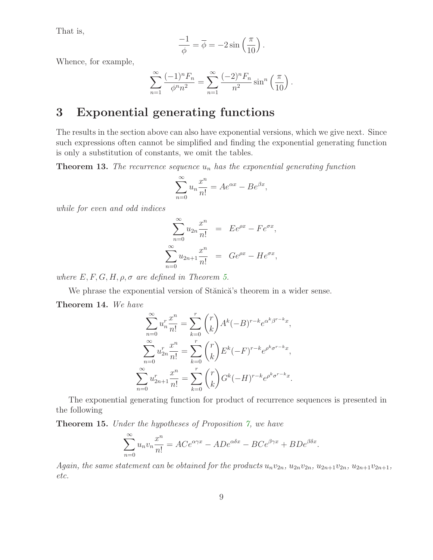That is,

$$
\frac{-1}{\phi} = \overline{\phi} = -2\sin\left(\frac{\pi}{10}\right).
$$

Whence, for example,

$$
\sum_{n=1}^{\infty} \frac{(-1)^n F_n}{\phi^n n^2} = \sum_{n=1}^{\infty} \frac{(-2)^n F_n}{n^2} \sin^n \left( \frac{\pi}{10} \right).
$$

#### 3 Exponential generating functions

The results in the section above can also have exponential versions, which we give next. Since such expressions often cannot be simplified and finding the exponential generating function is only a substitution of constants, we omit the tables.

<span id="page-8-1"></span>**Theorem 13.** The recurrence sequence  $u_n$  has the exponential generating function

$$
\sum_{n=0}^{\infty} u_n \frac{x^n}{n!} = Ae^{\alpha x} - Be^{\beta x},
$$

while for even and odd indices

$$
\sum_{n=0}^{\infty} u_{2n} \frac{x^n}{n!} = E e^{\rho x} - F e^{\sigma x},
$$
  

$$
\sum_{n=0}^{\infty} u_{2n+1} \frac{x^n}{n!} = G e^{\rho x} - H e^{\sigma x},
$$

where  $E, F, G, H, \rho, \sigma$  are defined in Theorem [5.](#page-3-0)

<span id="page-8-2"></span>We phrase the exponential version of Stănică's theorem in a wider sense. Theorem 14. We have

$$
\sum_{n=0}^{\infty} u_n^r \frac{x^n}{n!} = \sum_{k=0}^r \binom{r}{k} A^k (-B)^{r-k} e^{\alpha^k \beta^{r-k} x},
$$

$$
\sum_{n=0}^{\infty} u_{2n}^r \frac{x^n}{n!} = \sum_{k=0}^r \binom{r}{k} E^k (-F)^{r-k} e^{\rho^k \sigma^{r-k} x},
$$

$$
\sum_{n=0}^{\infty} u_{2n+1}^r \frac{x^n}{n!} = \sum_{k=0}^r \binom{r}{k} G^k (-H)^{r-k} e^{\rho^k \sigma^{r-k} x}.
$$

<span id="page-8-0"></span>The exponential generating function for product of recurrence sequences is presented in the following

Theorem 15. Under the hypotheses of Proposition [7,](#page-4-0) we have

$$
\sum_{n=0}^{\infty} u_n v_n \frac{x^n}{n!} = ACe^{\alpha \gamma x} - ADe^{\alpha \delta x} - BCe^{\beta \gamma x} + BDe^{\beta \delta x}.
$$

Again, the same statement can be obtained for the products  $u_n v_{2n}$ ,  $u_{2n} v_{2n}$ ,  $u_{2n+1}v_{2n}$ ,  $u_{2n+1}v_{2n+1}$ , etc.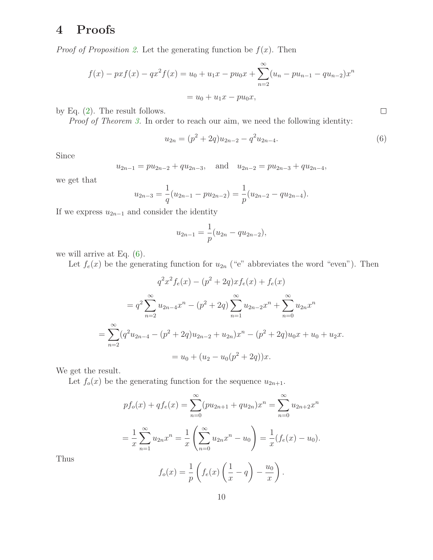## 4 Proofs

*Proof of Proposition [2.](#page-2-0)* Let the generating function be  $f(x)$ . Then

$$
f(x) - pxf(x) - qx^2f(x) = u_0 + u_1x - pu_0x + \sum_{n=2}^{\infty} (u_n - pu_{n-1} - qu_{n-2})x^n
$$
  
=  $u_0 + u_1x - pu_0x$ ,

by Eq. [\(2\)](#page-1-4). The result follows.

Proof of Theorem [3.](#page-2-2) In order to reach our aim, we need the following identity:

$$
u_{2n} = (p^2 + 2q)u_{2n-2} - q^2 u_{2n-4}.
$$
\n(6)

Since

$$
u_{2n-1} = pu_{2n-2} + qu_{2n-3}
$$
, and  $u_{2n-2} = pu_{2n-3} + qu_{2n-4}$ ,

we get that

$$
u_{2n-3} = \frac{1}{q}(u_{2n-1} - pu_{2n-2}) = \frac{1}{p}(u_{2n-2} - qu_{2n-4}).
$$

If we express  $u_{2n-1}$  and consider the identity

$$
u_{2n-1} = \frac{1}{p}(u_{2n} - qu_{2n-2}),
$$

we will arrive at Eq. [\(6\)](#page-9-0).

Let  $f_e(x)$  be the generating function for  $u_{2n}$  ("e" abbreviates the word "even"). Then

$$
q^{2}x^{2}f_{e}(x) - (p^{2} + 2q)xf_{e}(x) + f_{e}(x)
$$
  
=  $q^{2} \sum_{n=2}^{\infty} u_{2n-4}x^{n} - (p^{2} + 2q) \sum_{n=1}^{\infty} u_{2n-2}x^{n} + \sum_{n=0}^{\infty} u_{2n}x^{n}$   
=  $\sum_{n=2}^{\infty} (q^{2}u_{2n-4} - (p^{2} + 2q)u_{2n-2} + u_{2n})x^{n} - (p^{2} + 2q)u_{0}x + u_{0} + u_{2}x$ .  
=  $u_{0} + (u_{2} - u_{0}(p^{2} + 2q))x$ .

We get the result.

Let  $f_o(x)$  be the generating function for the sequence  $u_{2n+1}$ .

$$
pf_o(x) + qf_e(x) = \sum_{n=0}^{\infty} (pu_{2n+1} + qu_{2n})x^n = \sum_{n=0}^{\infty} u_{2n+2}x^n
$$
  
=  $\frac{1}{x}\sum_{n=1}^{\infty} u_{2n}x^n = \frac{1}{x}\left(\sum_{n=0}^{\infty} u_{2n}x^n - u_0\right) = \frac{1}{x}(f_e(x) - u_0).$ 

Thus

$$
f_o(x) = \frac{1}{p} \left( f_e(x) \left( \frac{1}{x} - q \right) - \frac{u_0}{x} \right).
$$

<span id="page-9-0"></span> $\Box$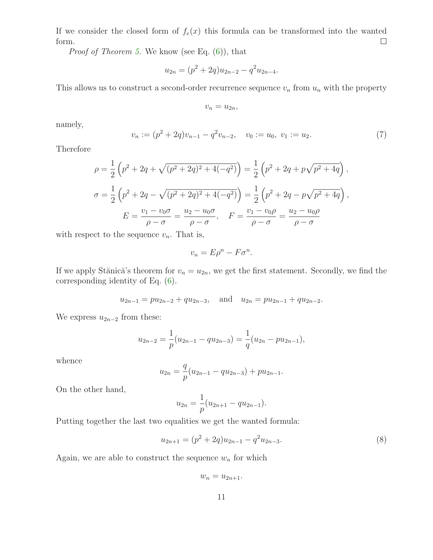If we consider the closed form of  $f_e(x)$  this formula can be transformed into the wanted  $\Box$ form.

*Proof of Theorem [5.](#page-3-0)* We know (see Eq.  $(6)$ ), that

$$
u_{2n} = (p^2 + 2q)u_{2n-2} - q^2 u_{2n-4}.
$$

This allows us to construct a second-order recurrence sequence  $v_n$  from  $u_n$  with the property

$$
v_n=u_{2n},
$$

namely,

$$
v_n := (p^2 + 2q)v_{n-1} - q^2v_{n-2}, \quad v_0 := u_0, \ v_1 := u_2. \tag{7}
$$

Therefore

$$
\rho = \frac{1}{2} \left( p^2 + 2q + \sqrt{(p^2 + 2q)^2 + 4(-q^2)} \right) = \frac{1}{2} \left( p^2 + 2q + p\sqrt{p^2 + 4q} \right),
$$
  

$$
\sigma = \frac{1}{2} \left( p^2 + 2q - \sqrt{(p^2 + 2q)^2 + 4(-q^2)} \right) = \frac{1}{2} \left( p^2 + 2q - p\sqrt{p^2 + 4q} \right),
$$
  

$$
E = \frac{v_1 - v_0 \sigma}{\rho - \sigma} = \frac{u_2 - u_0 \sigma}{\rho - \sigma}, \quad F = \frac{v_1 - v_0 \rho}{\rho - \sigma} = \frac{u_2 - u_0 \rho}{\rho - \sigma}
$$

with respect to the sequence  $v_n$ . That is,

$$
v_n = E\rho^n - F\sigma^n.
$$

If we apply Stănică's theorem for  $v_n = u_{2n}$ , we get the first statement. Secondly, we find the corresponding identity of Eq. [\(6\)](#page-9-0).

$$
u_{2n-1} = pu_{2n-2} + qu_{2n-3}
$$
, and  $u_{2n} = pu_{2n-1} + qu_{2n-2}$ .

We express  $u_{2n-2}$  from these:

$$
u_{2n-2} = \frac{1}{p}(u_{2n-1} - qu_{2n-3}) = \frac{1}{q}(u_{2n} - pu_{2n-1}),
$$

whence

$$
u_{2n} = \frac{q}{p}(u_{2n-1} - qu_{2n-3}) + pu_{2n-1}.
$$

On the other hand,

$$
u_{2n} = \frac{1}{p}(u_{2n+1} - qu_{2n-1}).
$$

Putting together the last two equalities we get the wanted formula:

$$
u_{2n+1} = (p^2 + 2q)u_{2n-1} - q^2 u_{2n-3}.
$$
\n(8)

Again, we are able to construct the sequence  $w_n$  for which

 $w_n = u_{2n+1}.$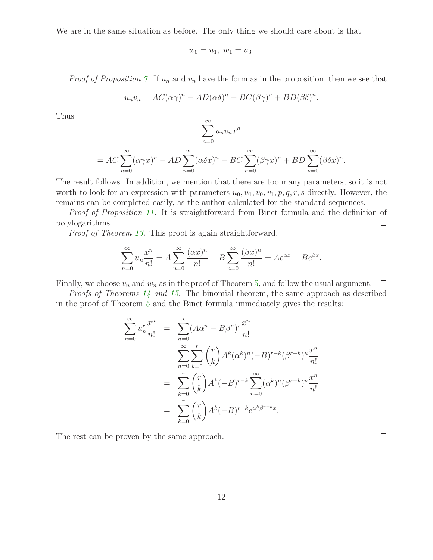We are in the same situation as before. The only thing we should care about is that

$$
w_0 = u_1, \ w_1 = u_3.
$$

*Proof of Proposition [7.](#page-4-0)* If  $u_n$  and  $v_n$  have the form as in the proposition, then we see that

$$
u_n v_n = AC(\alpha \gamma)^n - AD(\alpha \delta)^n - BC(\beta \gamma)^n + BD(\beta \delta)^n.
$$

Thus

$$
\sum_{n=0}^{\infty} u_n v_n x^n
$$

$$
= AC \sum_{n=0}^{\infty} (\alpha \gamma x)^n - AD \sum_{n=0}^{\infty} (\alpha \delta x)^n - BC \sum_{n=0}^{\infty} (\beta \gamma x)^n + BD \sum_{n=0}^{\infty} (\beta \delta x)^n.
$$

The result follows. In addition, we mention that there are too many parameters, so it is not worth to look for an expression with parameters  $u_0, u_1, v_0, v_1, p, q, r, s$  directly. However, the remains can be completed easily, as the author calculated for the standard sequences.  $\Box$ 

Proof of Proposition [11.](#page-5-1) It is straightforward from Binet formula and the definition of polylogarithms.  $\Box$ 

Proof of Theorem [13.](#page-8-1) This proof is again straightforward,

$$
\sum_{n=0}^{\infty} u_n \frac{x^n}{n!} = A \sum_{n=0}^{\infty} \frac{(\alpha x)^n}{n!} - B \sum_{n=0}^{\infty} \frac{(\beta x)^n}{n!} = A e^{\alpha x} - B e^{\beta x}.
$$

Finally, we choose  $v_n$  and  $w_n$  as in the proof of Theorem [5,](#page-3-0) and follow the usual argument.  $\Box$ 

Proofs of Theorems [14](#page-8-2) and [15.](#page-8-0) The binomial theorem, the same approach as described in the proof of Theorem [5](#page-3-0) and the Binet formula immediately gives the results:

$$
\sum_{n=0}^{\infty} u_n^r \frac{x^n}{n!} = \sum_{n=0}^{\infty} (A\alpha^n - B\beta^n)^r \frac{x^n}{n!}
$$
  
= 
$$
\sum_{n=0}^{\infty} \sum_{k=0}^r {r \choose k} A^k (\alpha^k)^n (-B)^{r-k} (\beta^{r-k})^n \frac{x^n}{n!}
$$
  
= 
$$
\sum_{k=0}^r {r \choose k} A^k (-B)^{r-k} \sum_{n=0}^{\infty} (\alpha^k)^n (\beta^{r-k})^n \frac{x^n}{n!}
$$
  
= 
$$
\sum_{k=0}^r {r \choose k} A^k (-B)^{r-k} e^{\alpha^k \beta^{r-k} x}.
$$

The rest can be proven by the same approach.

| ۰ |  | ۰ |
|---|--|---|
|   |  |   |
|   |  |   |
|   |  |   |
|   |  |   |

 $\Box$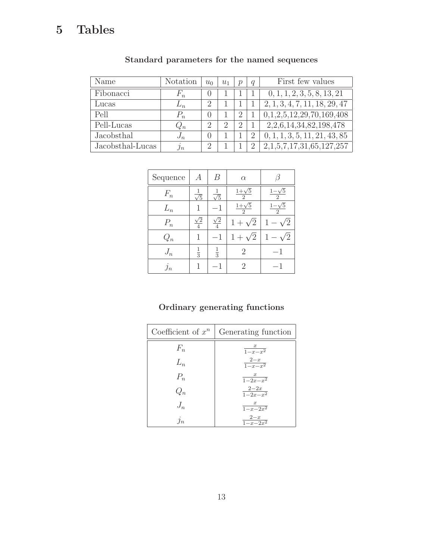## 5 Tables

| Name             | <b>Notation</b> | $u_0$            | $u_1$         | $\boldsymbol{v}$ | $\boldsymbol{q}$ | First few values              |
|------------------|-----------------|------------------|---------------|------------------|------------------|-------------------------------|
| Fibonacci        | $F_n$           | 0                |               |                  |                  | 0, 1, 1, 2, 3, 5, 8, 13, 21   |
| Lucas            | $L_n$           | $\overline{2}$   |               |                  |                  | 2, 1, 3, 4, 7, 11, 18, 29, 47 |
| Pell             | $P_n$           | $\left( \right)$ |               | $\overline{2}$   |                  | 0,1,2,5,12,29,70,169,408      |
| Pell-Lucas       | $Q_n$           | $\overline{2}$   | $\mathcal{D}$ | 2                |                  | 2,2,6,14,34,82,198,478        |
| Jacobsthal       | $J_n$           | $\left( \right)$ |               |                  | $\overline{2}$   | 0, 1, 1, 3, 5, 11, 21, 43, 85 |
| Jacobsthal-Lucas | $\jmath_n$      | $\overline{2}$   |               |                  | $\overline{2}$   | 2,1,5,7,17,31,65,127,257      |

#### Standard parameters for the named sequences

| Sequence   | А             | В             | $\alpha$                                 |                                          |
|------------|---------------|---------------|------------------------------------------|------------------------------------------|
| $F_n$      |               | 信             | $\frac{1+\sqrt{5}}{2}$<br>$\mathfrak{D}$ | $1-\sqrt{5}$<br>$\mathcal{D}$            |
| $L_n$      |               |               | $\frac{1+\sqrt{5}}{2}$<br>$\overline{2}$ | $\frac{1-\sqrt{5}}{2}$<br>$\overline{2}$ |
| $P_n$      |               | $\sqrt{2}$    | $\sqrt{2}$<br>1                          |                                          |
| $Q_n$      | 1             | 1             | $\sqrt{2}$<br>$1+$                       |                                          |
| $J_n$      | $\frac{1}{3}$ | $\frac{1}{3}$ | 2                                        | 1                                        |
| $\jmath_n$ | 1             |               | 2                                        |                                          |

#### Ordinary generating functions

| Coefficient of $x^n$ | Generating function     |
|----------------------|-------------------------|
| $F_n$                | $\frac{x}{1-x-x^2}$     |
| $L_n$                | $\frac{2-x}{1-x-x^2}$   |
| $P_n$                | $\frac{x}{1-2x-x^2}$    |
| $Q_n$                | $\frac{2-2x}{1-2x-x^2}$ |
| $J_n$                | $\frac{x}{1-x-2x^2}$    |
| $j_n$                | $\frac{2-x}{1-x-2x^2}$  |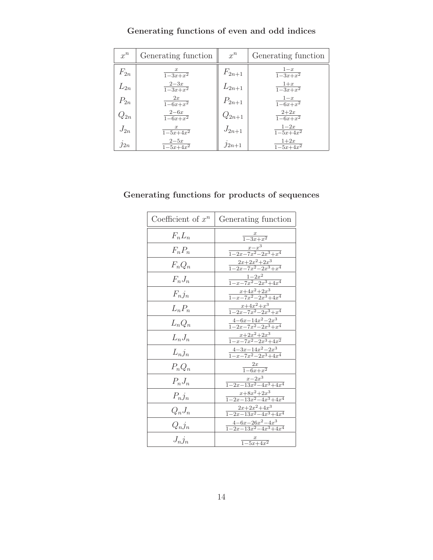| $x^n$    | Generating function         | $x^n$      | Generating function                             |
|----------|-----------------------------|------------|-------------------------------------------------|
| $F_{2n}$ | $\frac{x}{1-3x+x^2}$        | $F_{2n+1}$ | $\frac{1-x}{1-3x+x^2}$                          |
| $L_{2n}$ | $\frac{2-3x}{1-3x+x^2}$     | $L_{2n+1}$ | $\frac{1+x}{1-3x+x^2}$                          |
| $P_{2n}$ | 2x<br>$\frac{2x}{1-6x+x^2}$ | $P_{2n+1}$ | $\frac{1-x}{1-6x+x^2}$                          |
| $Q_{2n}$ | $\frac{2-6x}{1-6x+x^2}$     | $Q_{2n+1}$ | $\frac{2+2x}{1-6x+x^2}$                         |
| $J_{2n}$ | $\frac{x}{1-5x+4x^2}$       | $J_{2n+1}$ | $1-2x$<br>$\frac{1 - 5x + 4x^2}{1 - 5x + 4x^2}$ |
| $j_{2n}$ | $\frac{2-5x}{1-5x+4x^2}$    | $j_{2n+1}$ | $\frac{1+2x}{1-5x+4x^2}$                        |

#### Generating functions of even and odd indices

#### Generating functions for products of sequences

| Coefficient of $x^n$ | Generating function                            |
|----------------------|------------------------------------------------|
| $F_nL_n$             | $\frac{x}{1-3x+x^2}$                           |
| $F_n P_n$            | $\frac{x-x^3}{1-2x-7x^2-2x^3+x^4}$             |
| $F_n Q_n$            | $\frac{2x+2x^2+2x^3}{1-2x-7x^2-2x^3+x^4}$      |
| $F_n J_n$            | $\frac{1-2x^2}{1-x-7x^2-2x^3+4x^4}$            |
| $F_nj_n$             | $\frac{x+4x^2+2x^3}{1-x-7x^2-2x^3+4x^4}$       |
| $L_n P_n$            | $\frac{x+4x^2+x^3}{1-2x-7x^2-2x^3+x^4}$        |
| $L_n Q_n$            | $\frac{4-6x-14x^2-2x^3}{1-2x-7x^2-2x^3+x^4}$   |
| $L_nJ_n$             | $\frac{x+2x^2+2x^3}{1-x-7x^2-2x^3+4x^2}$       |
| $L_n j_n$            | $\frac{4-3x-14x^2-2x^3}{1-x-7x^2-2x^3+4x^4}$   |
| $P_nQ_n$             | $\frac{2x}{1-6x+x^2}$                          |
| $P_n J_n$            | $\frac{x-2x^3}{1-2x-13x^2-4x^3+4x^4}$          |
| $P_nj_n$             | $\frac{x+8x^2+2x^3}{1-2x-13x^2-4x^3+4x^4}$     |
| $Q_n J_n$            | $\frac{2x+2x^2+4x^3}{1-2x-13x^2-4x^3+4x^4}$    |
| $Q_n j_n$            | $\frac{4-6x-26x^2-4x^3}{1-2x-13x^2-4x^3+4x^4}$ |
| $J_n j_n$            | $\frac{x}{1-5x+4x^2}$                          |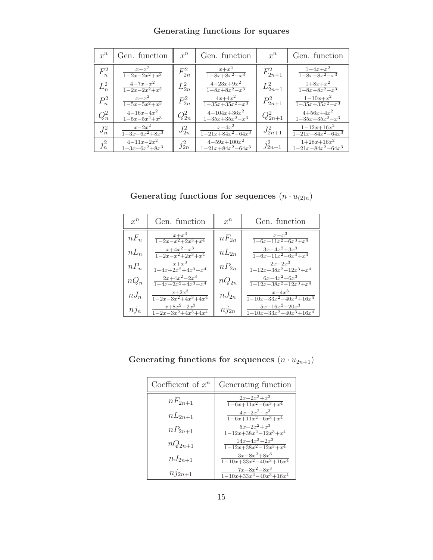| $x^n$   | Gen. function                                   | $x^n$      | Gen. function                                           | $x^n$        | Gen. function                                              |
|---------|-------------------------------------------------|------------|---------------------------------------------------------|--------------|------------------------------------------------------------|
| $F_n^2$ | $\frac{x-x^2}{1-2x-2x^2+x^3}$                   | $F_{2n}^2$ | $x+x^2$<br>$\frac{1-8x+8x^2-x^3}{x^2-x^3}$              | $F_{2n+1}^2$ | $1 - 4x + x^2$<br>$\frac{1-8x+8x^2-x^3}{x^2-x^3}$          |
| $L_n^2$ | $4 - 7x - x^2$<br>$\frac{1-2x-2x^2+x^3}{}$      | $L_{2n}^2$ | $4 - 23x + 9x^2$<br>$1 - 8x + 8x^2 - x^3$               | $L_{2n+1}^2$ | $1+8x+x^2$<br>$\frac{1-8x+8x^2-x^3}{x^2-x^3}$              |
| $P_n^2$ | $x-x^2$<br>$\frac{1-5x-5x^2+x^3}{x^2+x^3}$      | $P_{2n}^2$ | $4x+4x^2$<br>$\frac{1-35x+35x^2-x^3}{x^2-x^3}$          | $P_{2n+1}^2$ | $1 - 10x + x^2$<br>$\frac{1-35x+35x^2-x^3}{x^2-x^3}$       |
| $Q_n^2$ | $4-16x-4x^2$<br>$\frac{1-5x-5x^2+x^3}{x^2+x^3}$ | $Q_{2n}^2$ | $4-104x+36x^2$<br>$1 - 35x + 35x^2 - x^3$               | $Q_{2n+1}^2$ | $4+56x+4x^2$<br>$1 - 35x + 35x^2 - x^3$                    |
| $J_n^2$ | $x-2x^2$<br>$1 - 3x - 6x^2 + 8x^3$              | $J_{2n}^2$ | $x+4x^2$<br>$1 - 21x + 84x^2 - 64x^3$                   | $J_{2n+1}^2$ | $1 - 12x + 16x^2$<br>$\frac{1-21x+84x^2-64x^3}{x^2-64x^3}$ |
| $j_n^2$ | $4-11x-2x^2$<br>$\frac{1-3x-6x^2+8x^3}{x}$      | $j_{2n}^2$ | $4-59x+100x^2$<br>$\frac{1-21x+84x^2-64x^3}{x^2-64x^3}$ | $j_{2n+1}^2$ | $1+28x+16x^2$<br>$\frac{1-21x+84x^2-64x^3}{x^2-64x^3}$     |

#### Generating functions for squares

Generating functions for sequences  $(n\cdot u_{(2)n})$ 

| $x^n$     | Gen. function                                            | $r^n$     | Gen. function                                                   |
|-----------|----------------------------------------------------------|-----------|-----------------------------------------------------------------|
| $nF_n$    | $x+x^3$<br>$\frac{1-2x-x^2+2x^3+x^4}{1-2x-x^2+2x^3+x^4}$ | $nF_{2n}$ | $x-x^3$<br>$1 - 6x + 11x^2 - 6x^3 + x^4$                        |
| $nL_n$    | $x+4x^2-x^3$<br>$\frac{1-2x-x^2+2x^3+x^4}{x^2}$          | $nL_{2n}$ | $3x - 4x^2 + 3x^3$<br>$1 - 6x + 11x^2 - 6x^3 + x^4$             |
| $nP_n$    | $x+x^3$<br>$\frac{1}{1-4x+2x^2+4x^3+x^4}$                | $nP_{2n}$ | $2x-2x^3$<br>$\frac{1-12x+38x^2-12x^3+x^4}{x^2-12x^3+x^4}$      |
| $nQ_n$    | $2x+4x^2-2x^3$<br>$\frac{1}{1-4x+2x^2+4x^3+x^4}$         | $nQ_{2n}$ | $6x-4x^2+6x^3$<br>$\frac{1-12x+38x^2-12x^3+x^4}{x^2-12x^3+x^4}$ |
| $nJ_n$    | $x+2x^3$<br>$\frac{1-2x-3x^2+4x^3+4x^4}{x^4}$            | $nJ_{2n}$ | $x-4x^3$<br>$1-10x+33x^2-40x^3+16x^4$                           |
| $n_{j_n}$ | $x+8x^2-2x^3$<br>$\frac{1-2x-3x^2+4x^3+4x^4}{x^4}$       | $n_{12n}$ | $5x-16x^2+20x^3$<br>$1-10x+33x^2-40x^3+16x^4$                   |

Generating functions for sequences  $(n \cdot u_{2n+1})$ 

| Coefficient of $x^n$ | Generating function                                     |
|----------------------|---------------------------------------------------------|
| $nF_{2n+1}$          | $2x-2x^2+x^3$<br>$1-6x+11x^2-6x^3+x^4$                  |
| $nL_{2n+1}$          | $4x-2x^2-x^3$<br>$1-6x+11x^2-6x^3+x^4$                  |
| $nP_{2n+1}$          | $5x-2x^2+x^3$<br>$1-12x+38x^2-12x^3+x^4$                |
| $nQ_{2n+1}$          | $14x-4x^2-2x^3$<br>$1-12x+38x^2-12x^3+x^4$              |
| $nJ_{2n+1}$          | $3x-8x^2+8x^3$<br>$\frac{1-10x+33x^2-40x^3+16x^4}{x^4}$ |
| $n_{i2n+1}$          | $7x - 8x^2 - 8x^3$<br>$1-10x+33x^2-40x^3+16x^4$         |